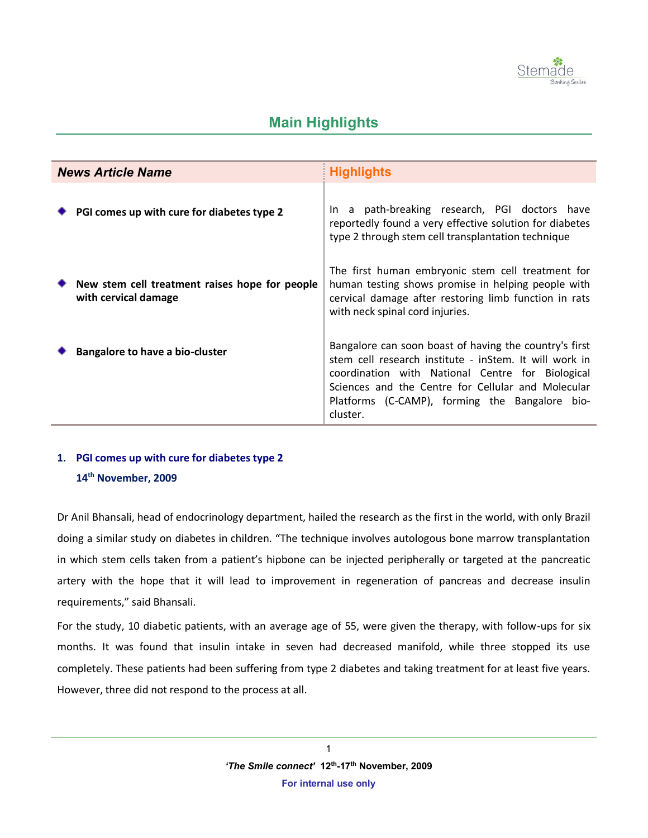

# **Main Highlights**

| <b>News Article Name</b> |                                                                        | <b>Highlights</b>                                                                                                                                                                                                                                                                        |
|--------------------------|------------------------------------------------------------------------|------------------------------------------------------------------------------------------------------------------------------------------------------------------------------------------------------------------------------------------------------------------------------------------|
|                          | PGI comes up with cure for diabetes type 2                             | In a path-breaking research, PGI doctors have<br>reportedly found a very effective solution for diabetes<br>type 2 through stem cell transplantation technique                                                                                                                           |
|                          | New stem cell treatment raises hope for people<br>with cervical damage | The first human embryonic stem cell treatment for<br>human testing shows promise in helping people with<br>cervical damage after restoring limb function in rats<br>with neck spinal cord injuries.                                                                                      |
|                          | <b>Bangalore to have a bio-cluster</b>                                 | Bangalore can soon boast of having the country's first<br>stem cell research institute - inStem. It will work in<br>coordination with National Centre for Biological<br>Sciences and the Centre for Cellular and Molecular<br>Platforms (C-CAMP), forming the Bangalore bio-<br>cluster. |

## **1. PGI comes up with cure for diabetes type 2 14 th November, 2009**

Dr Anil Bhansali, head of endocrinology department, hailed the research as the first in the world, with only Brazil doing a similar study on diabetes in children. "The technique involves autologous bone marrow transplantation in which stem cells taken from a patient's hipbone can be injected peripherally or targeted at the pancreatic artery with the hope that it will lead to improvement in regeneration of pancreas and decrease insulin requirements," said Bhansali.

For the study, 10 diabetic patients, with an average age of 55, were given the therapy, with follow-ups for six months. It was found that insulin intake in seven had decreased manifold, while three stopped its use completely. These patients had been suffering from type 2 diabetes and taking treatment for at least five years. However, three did not respond to the process at all.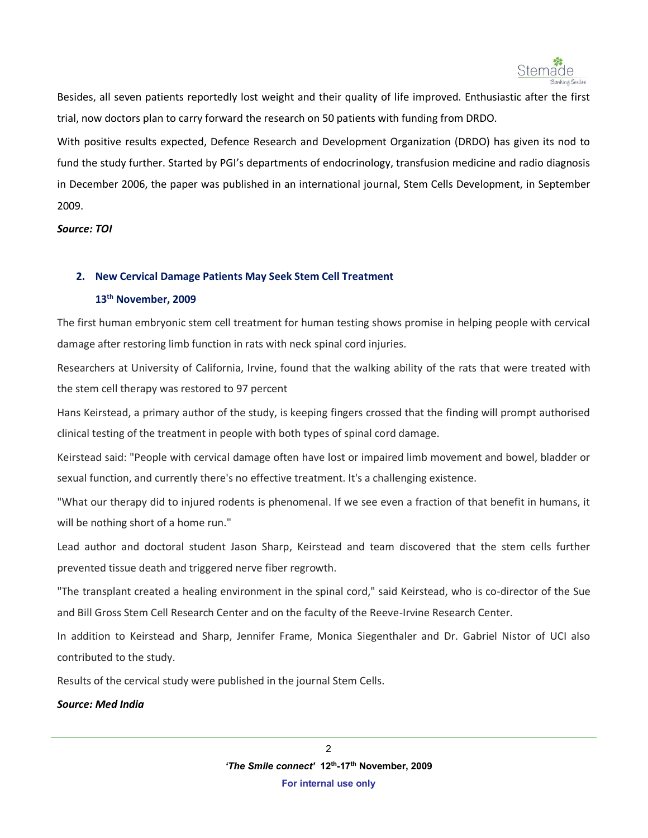

Besides, all seven patients reportedly lost weight and their quality of life improved. Enthusiastic after the first trial, now doctors plan to carry forward the research on 50 patients with funding from DRDO.

With positive results expected, Defence Research and Development Organization (DRDO) has given its nod to fund the study further. Started by PGI's departments of endocrinology, transfusion medicine and radio diagnosis in December 2006, the paper was published in an international journal, Stem Cells Development, in September 2009.

*Source: TOI* 

#### **2. New Cervical Damage Patients May Seek Stem Cell Treatment**

## **13 th November, 2009**

The first human embryonic stem cell treatment for human testing shows promise in helping people with cervical damage after restoring limb function in rats with neck spinal cord injuries.

Researchers at University of California, Irvine, found that the walking ability of the rats that were treated with the stem cell therapy was restored to 97 percent

Hans Keirstead, a primary author of the study, is keeping fingers crossed that the finding will prompt authorised clinical testing of the treatment in people with both types of spinal cord damage.

Keirstead said: "People with cervical damage often have lost or impaired limb movement and bowel, bladder or sexual function, and currently there's no effective treatment. It's a challenging existence.

"What our therapy did to injured rodents is phenomenal. If we see even a fraction of that benefit in humans, it will be nothing short of a home run."

Lead author and doctoral student Jason Sharp, Keirstead and team discovered that the stem cells further prevented tissue death and triggered nerve fiber regrowth.

"The transplant created a healing environment in the spinal cord," said Keirstead, who is co-director of the Sue and Bill Gross Stem Cell Research Center and on the faculty of the Reeve-Irvine Research Center.

In addition to Keirstead and Sharp, Jennifer Frame, Monica Siegenthaler and Dr. Gabriel Nistor of UCI also contributed to the study.

Results of the cervical study were published in the journal Stem Cells.

*Source: Med India*